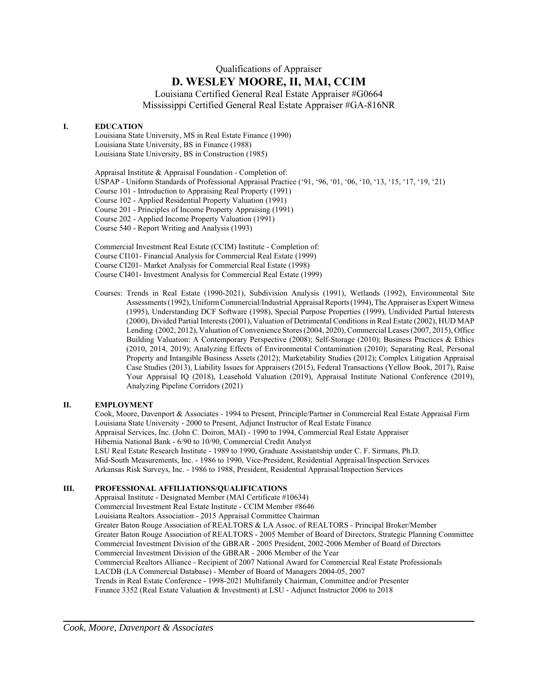# Qualifications of Appraiser **D. WESLEY MOORE, II, MAI, CCIM**

Louisiana Certified General Real Estate Appraiser #G0664 Mississippi Certified General Real Estate Appraiser #GA-816NR

# **I. EDUCATION**

Louisiana State University, MS in Real Estate Finance (1990) Louisiana State University, BS in Finance (1988) Louisiana State University, BS in Construction (1985)

Appraisal Institute & Appraisal Foundation - Completion of: USPAP - Uniform Standards of Professional Appraisal Practice ('91, '96, '01, '06, '10, '13, '15, '17, '19, '21) Course 101 - Introduction to Appraising Real Property (1991) Course 102 - Applied Residential Property Valuation (1991) Course 201 - Principles of Income Property Appraising (1991) Course 202 - Applied Income Property Valuation (1991) Course 540 - Report Writing and Analysis (1993)

Commercial Investment Real Estate (CCIM) Institute - Completion of: Course CI101- Financial Analysis for Commercial Real Estate (1999) Course CI201- Market Analysis for Commercial Real Estate (1998) Course CI401- Investment Analysis for Commercial Real Estate (1999)

Courses: Trends in Real Estate (1990-2021), Subdivision Analysis (1991), Wetlands (1992), Environmental Site Assessments (1992), Uniform Commercial/Industrial Appraisal Reports (1994), The Appraiser as Expert Witness (1995), Understanding DCF Software (1998), Special Purpose Properties (1999), Undivided Partial Interests (2000), Divided Partial Interests (2001), Valuation of Detrimental Conditions in Real Estate (2002), HUD MAP Lending (2002, 2012), Valuation of Convenience Stores (2004, 2020), Commercial Leases (2007, 2015), Office Building Valuation: A Contemporary Perspective (2008); Self-Storage (2010); Business Practices & Ethics (2010, 2014, 2019); Analyzing Effects of Environmental Contamination (2010); Separating Real, Personal Property and Intangible Business Assets (2012); Marketability Studies (2012); Complex Litigation Appraisal Case Studies (2013), Liability Issues for Appraisers (2015), Federal Transactions (Yellow Book, 2017), Raise Your Appraisal IQ (2018), Leasehold Valuation (2019), Appraisal Institute National Conference (2019), Analyzing Pipeline Corridors (2021)

# **II. EMPLOYMENT**

Cook, Moore, Davenport & Associates - 1994 to Present, Principle/Partner in Commercial Real Estate Appraisal Firm Louisiana State University - 2000 to Present, Adjunct Instructor of Real Estate Finance Appraisal Services, Inc. (John C. Doiron, MAI) - 1990 to 1994, Commercial Real Estate Appraiser Hibernia National Bank - 6/90 to 10/90, Commercial Credit Analyst LSU Real Estate Research Institute - 1989 to 1990, Graduate Assistantship under C. F. Sirmans, Ph.D. Mid-South Measurements, Inc. - 1986 to 1990, Vice-President, Residential Appraisal/Inspection Services Arkansas Risk Surveys, Inc. - 1986 to 1988, President, Residential Appraisal/Inspection Services

# **III. PROFESSIONAL AFFILIATIONS/QUALIFICATIONS**

Appraisal Institute - Designated Member (MAI Certificate #10634) Commercial Investment Real Estate Institute - CCIM Member #8646 Louisiana Realtors Association - 2015 Appraisal Committee Chairman Greater Baton Rouge Association of REALTORS & LA Assoc. of REALTORS - Principal Broker/Member Greater Baton Rouge Association of REALTORS - 2005 Member of Board of Directors, Strategic Planning Committee Commercial Investment Division of the GBRAR - 2005 President, 2002-2006 Member of Board of Directors Commercial Investment Division of the GBRAR - 2006 Member of the Year Commercial Realtors Alliance - Recipient of 2007 National Award for Commercial Real Estate Professionals LACDB (LA Commercial Database) - Member of Board of Managers 2004-05, 2007 Trends in Real Estate Conference - 1998-2021 Multifamily Chairman, Committee and/or Presenter Finance 3352 (Real Estate Valuation & Investment) at LSU - Adjunct Instructor 2006 to 2018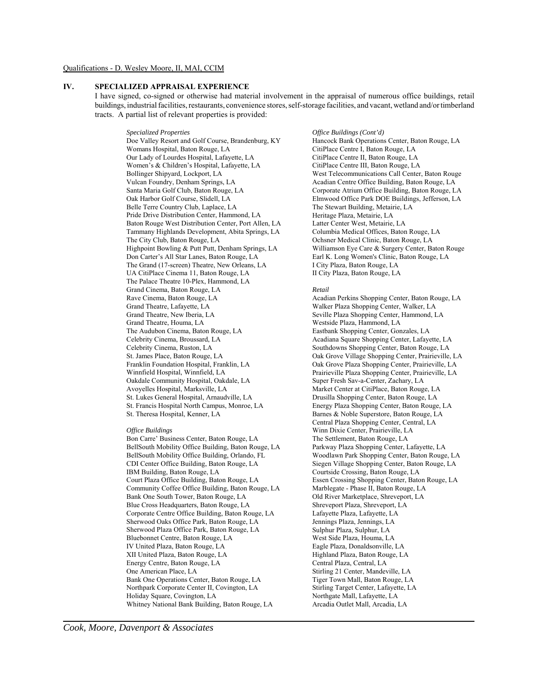### Qualifications - D. Wesley Moore, II, MAI, CCIM

# **IV. SPECIALIZED APPRAISAL EXPERIENCE**

I have signed, co-signed or otherwise had material involvement in the appraisal of numerous office buildings, retail buildings, industrial facilities, restaurants, convenience stores, self-storage facilities, and vacant, wetland and/or timberland tracts. A partial list of relevant properties is provided:

*Specialized Properties Office Buildings (Cont'd)*

Doe Valley Resort and Golf Course, Brandenburg, KY Womans Hospital, Baton Rouge, LA Our Lady of Lourdes Hospital, Lafayette, LA Women's & Children's Hospital, Lafayette, LA Bollinger Shipyard, Lockport, LA Vulcan Foundry, Denham Springs, LA Santa Maria Golf Club, Baton Rouge, LA Oak Harbor Golf Course, Slidell, LA Belle Terre Country Club, Laplace, LA Pride Drive Distribution Center, Hammond, LA Baton Rouge West Distribution Center, Port Allen, LA Tammany Highlands Development, Abita Springs, LA The City Club, Baton Rouge, LA Highpoint Bowling & Putt Putt, Denham Springs, LA Don Carter's All Star Lanes, Baton Rouge, LA The Grand (17-screen) Theatre, New Orleans, LA UA CitiPlace Cinema 11, Baton Rouge, LA The Palace Theatre 10-Plex, Hammond, LA Grand Cinema, Baton Rouge, LA Rave Cinema, Baton Rouge, LA Grand Theatre, Lafayette, LA Grand Theatre, New Iberia, LA Grand Theatre, Houma, LA The Audubon Cinema, Baton Rouge, LA Celebrity Cinema, Broussard, LA Celebrity Cinema, Ruston, LA St. James Place, Baton Rouge, LA Franklin Foundation Hospital, Franklin, LA Winnfield Hospital, Winnfield, LA Oakdale Community Hospital, Oakdale, LA Avoyelles Hospital, Marksville, LA St. Lukes General Hospital, Arnaudville, LA St. Francis Hospital North Campus, Monroe, LA St. Theresa Hospital, Kenner, LA

### *Office Buildings*

Bon Carre' Business Center, Baton Rouge, LA BellSouth Mobility Office Building, Baton Rouge, LA BellSouth Mobility Office Building, Orlando, FL CDI Center Office Building, Baton Rouge, LA IBM Building, Baton Rouge, LA Court Plaza Office Building, Baton Rouge, LA Community Coffee Office Building, Baton Rouge, LA Bank One South Tower, Baton Rouge, LA Blue Cross Headquarters, Baton Rouge, LA Corporate Centre Office Building, Baton Rouge, LA Sherwood Oaks Office Park, Baton Rouge, LA Sherwood Plaza Office Park, Baton Rouge, LA Bluebonnet Centre, Baton Rouge, LA IV United Plaza, Baton Rouge, LA XII United Plaza, Baton Rouge, LA Energy Centre, Baton Rouge, LA One American Place, LA Bank One Operations Center, Baton Rouge, LA Northpark Corporate Center II, Covington, LA Holiday Square, Covington, LA Whitney National Bank Building, Baton Rouge, LA

Hancock Bank Operations Center, Baton Rouge, LA CitiPlace Centre I, Baton Rouge, LA CitiPlace Centre II, Baton Rouge, LA CitiPlace Centre III, Baton Rouge, LA West Telecommunications Call Center, Baton Rouge Acadian Centre Office Building, Baton Rouge, LA Corporate Atrium Office Building, Baton Rouge, LA Elmwood Office Park DOE Buildings, Jefferson, LA The Stewart Building, Metairie, LA Heritage Plaza, Metairie, LA Latter Center West, Metairie, LA Columbia Medical Offices, Baton Rouge, LA Ochsner Medical Clinic, Baton Rouge, LA Williamson Eye Care & Surgery Center, Baton Rouge Earl K. Long Women's Clinic, Baton Rouge, LA I City Plaza, Baton Rouge, LA II City Plaza, Baton Rouge, LA

#### *Retail*

Acadian Perkins Shopping Center, Baton Rouge, LA Walker Plaza Shopping Center, Walker, LA Seville Plaza Shopping Center, Hammond, LA Westside Plaza, Hammond, LA Eastbank Shopping Center, Gonzales, LA Acadiana Square Shopping Center, Lafayette, LA Southdowns Shopping Center, Baton Rouge, LA Oak Grove Village Shopping Center, Prairieville, LA Oak Grove Plaza Shopping Center, Prairieville, LA Prairieville Plaza Shopping Center, Prairieville, LA Super Fresh Sav-a-Center, Zachary, LA Market Center at CitiPlace, Baton Rouge, LA Drusilla Shopping Center, Baton Rouge, LA Energy Plaza Shopping Center, Baton Rouge, LA Barnes & Noble Superstore, Baton Rouge, LA Central Plaza Shopping Center, Central, LA Winn Dixie Center, Prairieville, LA The Settlement, Baton Rouge, LA Parkway Plaza Shopping Center, Lafayette, LA Woodlawn Park Shopping Center, Baton Rouge, LA Siegen Village Shopping Center, Baton Rouge, LA Courtside Crossing, Baton Rouge, LA Essen Crossing Shopping Center, Baton Rouge, LA Marblegate - Phase II, Baton Rouge, LA Old River Marketplace, Shreveport, LA Shreveport Plaza, Shreveport, LA Lafayette Plaza, Lafayette, LA Jennings Plaza, Jennings, LA Sulphur Plaza, Sulphur, LA West Side Plaza, Houma, LA Eagle Plaza, Donaldsonville, LA Highland Plaza, Baton Rouge, LA Central Plaza, Central, LA Stirling 21 Center, Mandeville, LA Tiger Town Mall, Baton Rouge, LA Stirling Target Center, Lafayette, LA Northgate Mall, Lafayette, LA Arcadia Outlet Mall, Arcadia, LA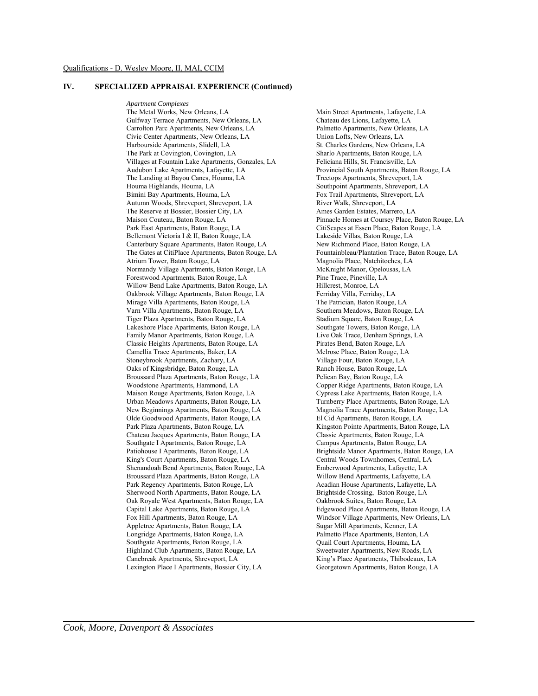### **IV. SPECIALIZED APPRAISAL EXPERIENCE (Continued)**

*Apartment Complexes* The Metal Works, New Orleans, LA Gulfway Terrace Apartments, New Orleans, LA Carrolton Parc Apartments, New Orleans, LA Civic Center Apartments, New Orleans, LA Harbourside Apartments, Slidell, LA The Park at Covington, Covington, LA Villages at Fountain Lake Apartments, Gonzales, LA Audubon Lake Apartments, Lafayette, LA The Landing at Bayou Canes, Houma, LA Houma Highlands, Houma, LA Bimini Bay Apartments, Houma, LA Autumn Woods, Shreveport, Shreveport, LA The Reserve at Bossier, Bossier City, LA Maison Couteau, Baton Rouge, LA Park East Apartments, Baton Rouge, LA Bellemont Victoria I & II, Baton Rouge, LA Canterbury Square Apartments, Baton Rouge, LA The Gates at CitiPlace Apartments, Baton Rouge, LA Atrium Tower, Baton Rouge, LA Normandy Village Apartments, Baton Rouge, LA Forestwood Apartments, Baton Rouge, LA Willow Bend Lake Apartments, Baton Rouge, LA Oakbrook Village Apartments, Baton Rouge, LA Mirage Villa Apartments, Baton Rouge, LA Varn Villa Apartments, Baton Rouge, LA Tiger Plaza Apartments, Baton Rouge, LA Lakeshore Place Apartments, Baton Rouge, LA Family Manor Apartments, Baton Rouge, LA Classic Heights Apartments, Baton Rouge, LA Camellia Trace Apartments, Baker, LA Stoneybrook Apartments, Zachary, LA Oaks of Kingsbridge, Baton Rouge, LA Broussard Plaza Apartments, Baton Rouge, LA Woodstone Apartments, Hammond, LA Maison Rouge Apartments, Baton Rouge, LA Urban Meadows Apartments, Baton Rouge, LA New Beginnings Apartments, Baton Rouge, LA Olde Goodwood Apartments, Baton Rouge, LA Park Plaza Apartments, Baton Rouge, LA Chateau Jacques Apartments, Baton Rouge, LA Southgate I Apartments, Baton Rouge, LA Patiohouse I Apartments, Baton Rouge, LA King's Court Apartments, Baton Rouge, LA Shenandoah Bend Apartments, Baton Rouge, LA Broussard Plaza Apartments, Baton Rouge, LA Park Regency Apartments, Baton Rouge, LA Sherwood North Apartments, Baton Rouge, LA Oak Royale West Apartments, Baton Rouge, LA Capital Lake Apartments, Baton Rouge, LA Fox Hill Apartments, Baton Rouge, LA Appletree Apartments, Baton Rouge, LA Longridge Apartments, Baton Rouge, LA Southgate Apartments, Baton Rouge, LA Highland Club Apartments, Baton Rouge, LA Canebreak Apartments, Shreveport, LA Lexington Place I Apartments, Bossier City, LA

Main Street Apartments, Lafayette, LA Chateau des Lions, Lafayette, LA Palmetto Apartments, New Orleans, LA Union Lofts, New Orleans, LA St. Charles Gardens, New Orleans, LA Sharlo Apartments, Baton Rouge, LA Feliciana Hills, St. Francisville, LA Provincial South Apartments, Baton Rouge, LA Treetops Apartments, Shreveport, LA Southpoint Apartments, Shreveport, LA Fox Trail Apartments, Shreveport, LA River Walk, Shreveport, LA Ames Garden Estates, Marrero, LA Pinnacle Homes at Coursey Place, Baton Rouge, LA CitiScapes at Essen Place, Baton Rouge, LA Lakeside Villas, Baton Rouge, LA New Richmond Place, Baton Rouge, LA Fountainbleau/Plantation Trace, Baton Rouge, LA Magnolia Place, Natchitoches, LA McKnight Manor, Opelousas, LA Pine Trace, Pineville, LA Hillcrest, Monroe, LA Ferriday Villa, Ferriday, LA The Patrician, Baton Rouge, LA Southern Meadows, Baton Rouge, LA Stadium Square, Baton Rouge, LA Southgate Towers, Baton Rouge, LA Live Oak Trace, Denham Springs, LA Pirates Bend, Baton Rouge, LA Melrose Place, Baton Rouge, LA Village Four, Baton Rouge, LA Ranch House, Baton Rouge, LA Pelican Bay, Baton Rouge, LA Copper Ridge Apartments, Baton Rouge, LA Cypress Lake Apartments, Baton Rouge, LA Turnberry Place Apartments, Baton Rouge, LA Magnolia Trace Apartments, Baton Rouge, LA El Cid Apartments, Baton Rouge, LA Kingston Pointe Apartments, Baton Rouge, LA Classic Apartments, Baton Rouge, LA Campus Apartments, Baton Rouge, LA Brightside Manor Apartments, Baton Rouge, LA Central Woods Townhomes, Central, LA Emberwood Apartments, Lafayette, LA Willow Bend Apartments, Lafayette, LA Acadian House Apartments, Lafayette, LA Brightside Crossing, Baton Rouge, LA Oakbrook Suites, Baton Rouge, LA Edgewood Place Apartments, Baton Rouge, LA Windsor Village Apartments, New Orleans, LA Sugar Mill Apartments, Kenner, LA Palmetto Place Apartments, Benton, LA Quail Court Apartments, Houma, LA Sweetwater Apartments, New Roads, LA King's Place Apartments, Thibodeaux, LA Georgetown Apartments, Baton Rouge, LA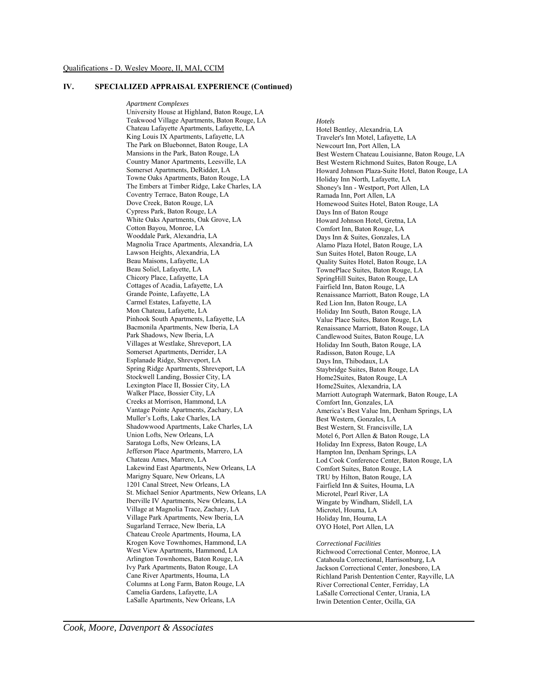# **IV. SPECIALIZED APPRAISAL EXPERIENCE (Continued)**

*Apartment Complexes* University House at Highland, Baton Rouge, LA Teakwood Village Apartments, Baton Rouge, LA Chateau Lafayette Apartments, Lafayette, LA King Louis IX Apartments, Lafayette, LA The Park on Bluebonnet, Baton Rouge, LA Mansions in the Park, Baton Rouge, LA Country Manor Apartments, Leesville, LA Somerset Apartments, DeRidder, LA Towne Oaks Apartments, Baton Rouge, LA The Embers at Timber Ridge, Lake Charles, LA Coventry Terrace, Baton Rouge, LA Dove Creek, Baton Rouge, LA Cypress Park, Baton Rouge, LA White Oaks Apartments, Oak Grove, LA Cotton Bayou, Monroe, LA Wooddale Park, Alexandria, LA Magnolia Trace Apartments, Alexandria, LA Lawson Heights, Alexandria, LA Beau Maisons, Lafayette, LA Beau Soliel, Lafayette, LA Chicory Place, Lafayette, LA Cottages of Acadia, Lafayette, LA Grande Pointe, Lafayette, LA Carmel Estates, Lafayette, LA Mon Chateau, Lafayette, LA Pinhook South Apartments, Lafayette, LA Bacmonila Apartments, New Iberia, LA Park Shadows, New Iberia, LA Villages at Westlake, Shreveport, LA Somerset Apartments, Derrider, LA Esplanade Ridge, Shreveport, LA Spring Ridge Apartments, Shreveport, LA Stockwell Landing, Bossier City, LA Lexington Place II, Bossier City, LA Walker Place, Bossier City, LA Creeks at Morrison, Hammond, LA Vantage Pointe Apartments, Zachary, LA Muller's Lofts, Lake Charles, LA Shadowwood Apartments, Lake Charles, LA Union Lofts, New Orleans, LA Saratoga Lofts, New Orleans, LA Jefferson Place Apartments, Marrero, LA Chateau Ames, Marrero, LA Lakewind East Apartments, New Orleans, LA Marigny Square, New Orleans, LA 1201 Canal Street, New Orleans, LA St. Michael Senior Apartments, New Orleans, LA Iberville IV Apartments, New Orleans, LA Village at Magnolia Trace, Zachary, LA Village Park Apartments, New Iberia, LA Sugarland Terrace, New Iberia, LA Chateau Creole Apartments, Houma, LA Krogen Kove Townhomes, Hammond, LA West View Apartments, Hammond, LA Arlington Townhomes, Baton Rouge, LA Ivy Park Apartments, Baton Rouge, LA Cane River Apartments, Houma, LA Columns at Long Farm, Baton Rouge, LA Camelia Gardens, Lafayette, LA LaSalle Apartments, New Orleans, LA

#### *Hotels*

Hotel Bentley, Alexandria, LA Traveler's Inn Motel, Lafayette, LA Newcourt Inn, Port Allen, LA Best Western Chateau Louisianne, Baton Rouge, LA Best Western Richmond Suites, Baton Rouge, LA Howard Johnson Plaza-Suite Hotel, Baton Rouge, LA Holiday Inn North, Lafayette, LA Shoney's Inn - Westport, Port Allen, LA Ramada Inn, Port Allen, LA Homewood Suites Hotel, Baton Rouge, LA Days Inn of Baton Rouge Howard Johnson Hotel, Gretna, LA Comfort Inn, Baton Rouge, LA Days Inn & Suites, Gonzales, LA Alamo Plaza Hotel, Baton Rouge, LA Sun Suites Hotel, Baton Rouge, LA Quality Suites Hotel, Baton Rouge, LA TownePlace Suites, Baton Rouge, LA SpringHill Suites, Baton Rouge, LA Fairfield Inn, Baton Rouge, LA Renaissance Marriott, Baton Rouge, LA Red Lion Inn, Baton Rouge, LA Holiday Inn South, Baton Rouge, LA Value Place Suites, Baton Rouge, LA Renaissance Marriott, Baton Rouge, LA Candlewood Suites, Baton Rouge, LA Holiday Inn South, Baton Rouge, LA Radisson, Baton Rouge, LA Days Inn, Thibodaux, LA Staybridge Suites, Baton Rouge, LA Home2Suites, Baton Rouge, LA Home2Suites, Alexandria, LA Marriott Autograph Watermark, Baton Rouge, LA Comfort Inn, Gonzales, LA America's Best Value Inn, Denham Springs, LA Best Western, Gonzales, LA Best Western, St. Francisville, LA Motel 6, Port Allen & Baton Rouge, LA Holiday Inn Express, Baton Rouge, LA Hampton Inn, Denham Springs, LA Lod Cook Conference Center, Baton Rouge, LA Comfort Suites, Baton Rouge, LA TRU by Hilton, Baton Rouge, LA Fairfield Inn & Suites, Houma, LA Microtel, Pearl River, LA Wingate by Windham, Slidell, LA Microtel, Houma, LA Holiday Inn, Houma, LA OYO Hotel, Port Allen, LA

*Correctional Facilities*

Richwood Correctional Center, Monroe, LA Catahoula Correctional, Harrisonburg, LA Jackson Correctional Center, Jonesboro, LA Richland Parish Dentention Center, Rayville, LA River Correctional Center, Ferriday, LA LaSalle Correctional Center, Urania, LA Irwin Detention Center, Ocilla, GA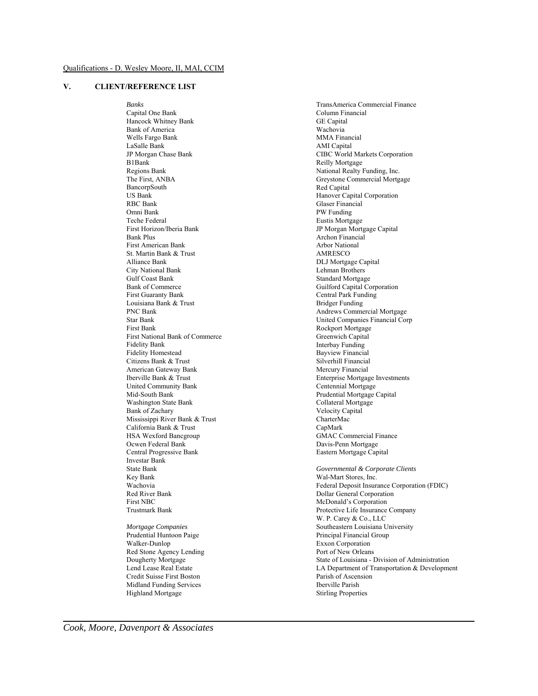# **V. CLIENT/REFERENCE LIST**

*Banks* Capital One Bank Hancock Whitney Bank Bank of America Wells Fargo Bank LaSalle Bank JP Morgan Chase Bank B1Bank Regions Bank The First, ANBA BancorpSouth US Bank RBC Bank Omni Bank Teche Federal First Horizon/Iberia Bank Bank Plus First American Bank St. Martin Bank & Trust Alliance Bank City National Bank Gulf Coast Bank Bank of Commerce First Guaranty Bank Louisiana Bank & Trust PNC Bank Star Bank First Bank First National Bank of Commerce Fidelity Bank Fidelity Homestead Citizens Bank & Trust American Gateway Bank Iberville Bank & Trust United Community Bank Mid-South Bank Washington State Bank Bank of Zachary Mississippi River Bank & Trust California Bank & Trust HSA Wexford Bancgroup Ocwen Federal Bank Central Progressive Bank Investar Bank State Bank Key Bank Wachovia Red River Bank First NBC Trustmark Bank *Mortgage Companies* Prudential Huntoon Paige Walker-Dunlop Red Stone Agency Lending Dougherty Mortgage

TransAmerica Commercial Finance Column Financial GE Capital Wachovia MMA Financial AMI Capital CIBC World Markets Corporation Reilly Mortgage National Realty Funding, Inc. Greystone Commercial Mortgage Red Capital Hanover Capital Corporation Glaser Financial PW Funding Eustis Mortgage JP Morgan Mortgage Capital Archon Financial Arbor National AMRESCO DLJ Mortgage Capital Lehman Brothers Standard Mortgage Guilford Capital Corporation Central Park Funding Bridger Funding Andrews Commercial Mortgage United Companies Financial Corp Rockport Mortgage Greenwich Capital Interbay Funding Bayview Financial Silverhill Financial Mercury Financial Enterprise Mortgage Investments Centennial Mortgage Prudential Mortgage Capital Collateral Mortgage Velocity Capital CharterMac CapMark GMAC Commercial Finance Davis-Penn Mortgage Eastern Mortgage Capital *Governmental & Corporate Clients* Wal-Mart Stores, Inc. Dollar General Corporation

Federal Deposit Insurance Corporation (FDIC) McDonald's Corporation Protective Life Insurance Company W. P. Carey & Co., LLC Southeastern Louisiana University Principal Financial Group Exxon Corporation Port of New Orleans State of Louisiana - Division of Administration LA Department of Transportation & Development Parish of Ascension Iberville Parish Stirling Properties

Lend Lease Real Estate Credit Suisse First Boston Midland Funding Services Highland Mortgage